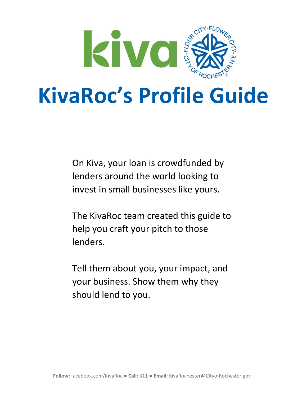

On Kiva, your loan is crowdfunded by lenders around the world looking to invest in small businesses like yours.

The KivaRoc team created this guide to help you craft your pitch to those lenders.

Tell them about you, your impact, and your business. Show them why they should lend to you.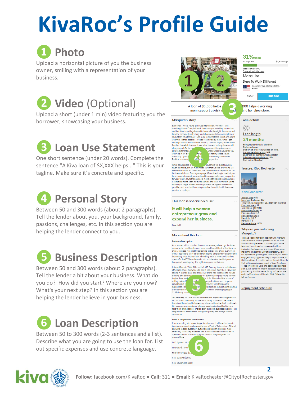

Upload a horizontal picture of you the business owner, smiling with a representation of your business.



Upload a short (under 1 min) video featuring you the borrower, showcasing your business.

# **❸ Loan Use Statement**

One short sentence (under 20 words). Complete the sentence "A Kiva loan of \$X,XXX helps..." This is your tagline. Make sure it's concrete and specific.



Between 50 and 300 words (about 2 paragraphs). Tell the lender about you, your background, family, passions, challenges, etc. In this section you are helping the lender connect to you.

# **❺ Business Description**

Between 50 and 300 words (about 2 paragraphs). Tell the lender a bit about your business. What do you do? How did you start? Where are you now? What's your next step? In this section you are helping the lender believe in your business.

# **❻ Loan Description**

Between 50 to 300 words (2-3 sentences and a list). Describe what you are going to use the loan for. List out specific expenses and use concrete language.



#### Marquita's story

Ever since I was a young girl I was into fashion. Whether I was atching Naomi Campbell walk the runway or watching my mothe and her friends getting dressed to have a ladies night. I was amazed and net fremena getting creates to now a look experiment that the state of the tendent properties are the content<br>of the properties of the state of the state of the state of the state of the state of the state of the fight

brother and sisters from a young age. My mother taught me that yor have to work for what you want and to always make sure you provide for your family. My father owned a men's clothing and shoe bo or you running, my numerous unemed and work for myself. Being<br>the lapined me to open my own business and work for myself. Being<br>raised by a single mother has taught me to be a great worker and<br>provider, and now that I'm a

#### This loan is special because:

It will help a woman entrepreneur grow and expand her business.

Kiva staff

#### More about this loan

#### **Business Description**

As a women with a passion, I look at shoes everywhere I go: in stores,<br>restaurants, I could walk into a library and I would look at the librarian<br>shoes. I noticed was that I was Dooking at the same shoes everywhere I<br>went. speaks for itself. When she walks into an interview, her first prom, or her special wedding day, the right shoe gives confidence.

I started Dare to Walk Different in 2015 from my home to sell fabulous affordable shoes to my friends, and it has grown from there. Now I am selling in a small store and online. My brand has expanded to include

mortar store. Eventually, my dream is for my business to become a  $In our study, any maximum source and the maximum source to account with the given number of the two functions, the time, you can be used to find the value of the time, and the time, the time is the time at the end of the time. The time is the time, the time is the time, the time is the time, the time is the time, the time is the time, the time is the time, the time is the time, the time is the time, the time is the time, the time is the time, the time is the time. The time is the time, the time is the time, the time is the time, the time is the time, the time is the time, the time is the time, the time is the time, the time is the time, the time is the time, the time is the time, the time is the time, the time is the time, the time is the time, the time is the time, the time is the time, the time is the time, the time is the time$ 

#### What is the purpose of this loan?

I am expanding into a new, larger location, and I will use this loan to increase my shoe inventory and to buy a Point of Sole system. This will allow me to cash customers at that deep up with inventory more efficiently, in spend more time in the industry and around the young men and women I love.

**6** New Equipment: \$800



 $31\%$  funded 30 days left

\$3,450 to go

#### **Repayment schedule**



**Follow:** facebook.com/KivaRoc ● **Call:** 311 ● **Email:** KivaRochester@CityofRochester.gov

**2**

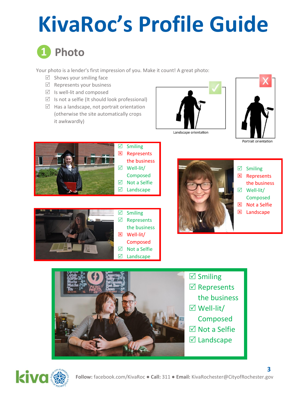

Your photo is a lender's first impression of you. Make it count! A great photo:

- $\boxtimes$  Shows your smiling face
- $\boxtimes$  Represents your business
- $\boxtimes$  Is well-lit and composed
- $\triangledown$  Is not a selfie (It should look professional)
- $\triangledown$  Has a landscape, not portrait orientation (otherwise the site automatically crops it awkwardly)



Landscape orientation









- $\boxtimes$  Smiling
- **E** Represents
- the business
- Well-lit/
- Composed
- **区** Not a Selfie
- **区** Landscape



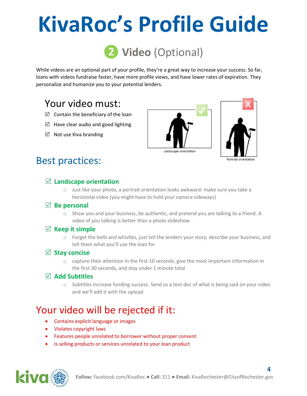

While videos are an optional part of your profile, they're a great way to increase your success. So far, loans with videos fundraise faster, have more profile views, and have lower rates of expiration. They personalize and humanize you to your potential lenders.

# Your video must:

- $\boxtimes$  Contain the beneficiary of the loan
- $\boxtimes$  Have clear audio and good lighting
- $\boxtimes$  Not use Kiva branding





**4**

# Best practices:

## **Landscape orientation**

o Just like your photo, a portrait orientation looks awkward: make sure you take a horizontal video (you might have to hold your camera sideways)

### **Be personal**

 $\circ$  Show you and your business, be authentic, and pretend you are talking to a friend. A video of you talking is better than a photo slideshow

## $\boxtimes$  Keep it simple

o Forget the bells and whistles, just tell the lenders your story, describe your business, and tell them what you'll use the loan for

## **Stay concise**

o capture their attention in the first 10 seconds, give the most important information in the first 30 seconds, and stay under 1 minute total

## **Add Subtitles**

 $\circ$  Subtitles increase funding success. Send us a text doc of what is being said on your video and we'll add it with the upload

# Your video will be rejected if it:

- Contains explicit language or images
- Violates copyright laws
- Features people unrelated to borrower without proper consent
- Is selling products or services unrelated to your loan product

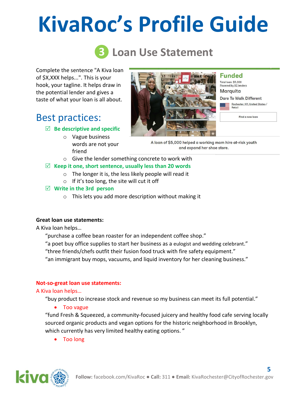# **❸ Loan Use Statement**

Complete the sentence "A Kiva loan of \$X,XXX helps...". This is your hook, your tagline. It helps draw in the potential lender and gives a taste of what your loan is all about.

# Best practices:

## **Be descriptive and specific**

- o Vague business
	- words are not your friend



**Funded** Total Ioan: \$5,000 Powered by 92 lenders **Marquita** 

**Dare To Walk Different** 

Retail

Rochester, NY, United States /

Find a new loan

and expand her shoe store.

- o Give the lender something concrete to work with **Keep it one, short sentence, usually less than 20 words**
	- o The longer it is, the less likely people will read it
	- o If it's too long, the site will cut it off

#### **Write in the 3rd person**

o This lets you add more description without making it

### **Great loan use statements:**

A Kiva loan helps…

"purchase a coffee bean roaster for an independent coffee shop."

"a poet buy office supplies to start her business as a eulogist and wedding celebrant."

"three friends/chefs outfit their fusion food truck with fire safety equipment."

"an immigrant buy mops, vacuums, and liquid inventory for her cleaning business."

### **Not-so-great loan use statements:**

#### A Kiva loan helps…

"buy product to increase stock and revenue so my business can meet its full potential."

Too vague

"fund Fresh & Squeezed, a community-focused juicery and healthy food cafe serving locally sourced organic products and vegan options for the historic neighborhood in Brooklyn, which currently has very limited healthy eating options."

Too long

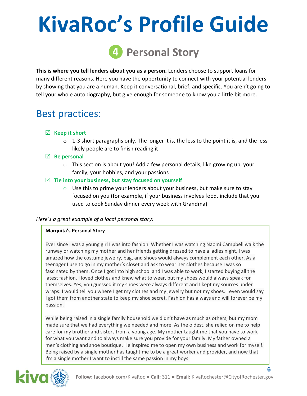

**This is where you tell lenders about you as a person.** Lenders choose to support loans for many different reasons. Here you have the opportunity to connect with your potential lenders by showing that you are a human. Keep it conversational, brief, and specific. You aren't going to tell your whole autobiography, but give enough for someone to know you a little bit more.

# Best practices:

## **Keep it short**

- $\circ$  1-3 short paragraphs only. The longer it is, the less to the point it is, and the less likely people are to finish reading it
- **Be personal** 
	- o This section is about you! Add a few personal details, like growing up, your family, your hobbies, and your passions

## **Tie into your business, but stay focused on yourself**

 $\circ$  Use this to prime your lenders about your business, but make sure to stay focused on you (for example, if your business involves food, include that you used to cook Sunday dinner every week with Grandma)

### *Here's a great example of a local personal story:*

### **Marquita's Personal Story**

Ever since I was a young girl I was into fashion. Whether I was watching Naomi Campbell walk the runway or watching my mother and her friends getting dressed to have a ladies night, I was amazed how the costume jewelry, bag, and shoes would always complement each other. As a teenager I use to go in my mother's closet and ask to wear her clothes because I was so fascinated by them. Once I got into high school and I was able to work, I started buying all the latest fashion. I loved clothes and knew what to wear, but my shoes would always speak for themselves. Yes, you guessed it my shoes were always different and I kept my sources under wraps: I would tell you where I get my clothes and my jewelry but not my shoes. I even would say I got them from another state to keep my shoe secret. Fashion has always and will forever be my passion.

While being raised in a single family household we didn't have as much as others, but my mom made sure that we had everything we needed and more. As the oldest, she relied on me to help care for my brother and sisters from a young age. My mother taught me that you have to work for what you want and to always make sure you provide for your family. My father owned a men's clothing and shoe boutique. He inspired me to open my own business and work for myself. Being raised by a single mother has taught me to be a great worker and provider, and now that I'm a single mother I want to instill the same passion in my boys.



**6**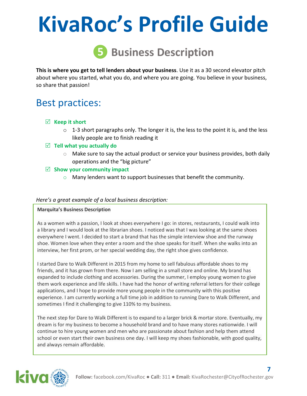

**This is where you get to tell lenders about your business**. Use it as a 30 second elevator pitch about where you started, what you do, and where you are going. You believe in your business, so share that passion!

# Best practices:

- **Keep it short**
	- $\circ$  1-3 short paragraphs only. The longer it is, the less to the point it is, and the less likely people are to finish reading it
- **Tell what you actually do**
	- $\circ$  Make sure to say the actual product or service your business provides, both daily operations and the "big picture"
- **Show your community impact**
	- $\circ$  Many lenders want to support businesses that benefit the community.

#### *Here's a great example of a local business description:*

#### **Marquita's Business Description**

As a women with a passion, I look at shoes everywhere I go: in stores, restaurants, I could walk into a library and I would look at the librarian shoes. I noticed was that I was looking at the same shoes everywhere I went. I decided to start a brand that has the simple interview shoe and the runway shoe. Women love when they enter a room and the shoe speaks for itself. When she walks into an interview, her first prom, or her special wedding day, the right shoe gives confidence.

I started Dare to Walk Different in 2015 from my home to sell fabulous affordable shoes to my friends, and it has grown from there. Now I am selling in a small store and online. My brand has expanded to include clothing and accessories. During the summer, I employ young women to give them work experience and life skills. I have had the honor of writing referral letters for their college applications, and I hope to provide more young people in the community with this positive experience. I am currently working a full time job in addition to running Dare to Walk Different, and sometimes I find it challenging to give 110% to my business.

The next step for Dare to Walk Different is to expand to a larger brick & mortar store. Eventually, my dream is for my business to become a household brand and to have many stores nationwide. I will continue to hire young women and men who are passionate about fashion and help them attend school or even start their own business one day. I will keep my shoes fashionable, with good quality, and always remain affordable.



**7**